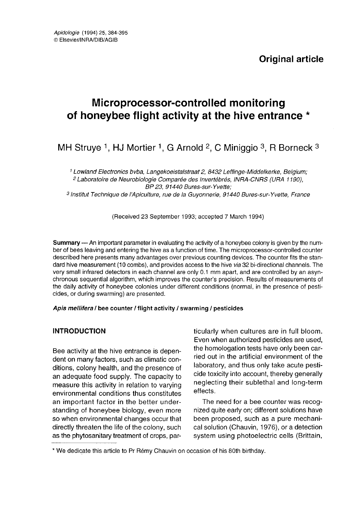# Microprocessor-controlled monitoring of honeybee flight activity at the hive entrance \*

MH Struye <sup>1</sup>, HJ Mortier <sup>1</sup>, G Arnold <sup>2</sup>, C Miniggio <sup>3</sup>, R Borneck <sup>3</sup>

<sup>1</sup> Lowland Electronics bvba, Langekoeistalstraat 2, 8432 Leffinge-Middelkerke, Belgium; <sup>2</sup> Laboratoire de Neurobiologie Comparée des Invertébrés, INRA-CNRS (URA 1190), BP 23, 91440 Bures-sur-Yvette; 3 Institut Technique de l'Apiculture, rue de la Guyonnerie, 91440 Bures-sur-Yvette, France

(Received 23 September 1993; accepted 7 March 1994)

Summary — An important parameter in evaluating the activity of a honeybee colony is given by the number of bees leaving and entering the hive as a function of time. The microprocessor-controlled counter described here presents many advantages over previous counting devices. The counter fits the standard hive measurement (10 combs), and provides access to the hive via 32 bi-directional channels. The very small infrared detectors in each channel are only 0.1 mm apart, and are controlled by an asynchronous sequential algorithm, which improves the counter's precision. Results of measurements of the daily activity of honeybee colonies under different conditions (normal, in the presence of pesticides, or during swarming) are presented.

#### Apis mellifera / bee counter / flight activity / swarming / pesticides

# INTRODUCTION

Bee activity at the hive entrance is dependent on many factors, such as climatic conditions, colony health, and the presence of an adequate food supply. The capacity to measure this activity in relation to varying environmental conditions thus constitutes an important factor in the better understanding of honeybee biology, even more so when environmental changes occur that directly threaten the life of the colony, such as the phytosanitary treatment of crops, particularly when cultures are in full bloom. Even when authorized pesticides are used, the homologation tests have only been carried out in the artificial environment of the laboratory, and thus only take acute pesticide toxicity into account, thereby generally neglecting their sublethal and long-term effects.

The need for a bee counter was recognized quite early on; different solutions have been proposed, such as a pure mechanical solution (Chauvin, 1976), or a detection system using photoelectric cells (Brittain,

<sup>\*</sup> We dedicate this article to Pr Rémy Chauvin on occasion of his 80th birthday.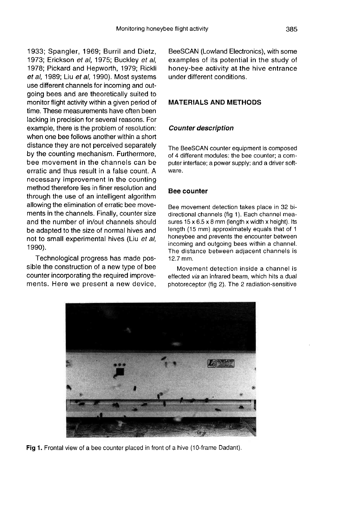1933; Spangler, 1969; Burril and Dietz, 1973; Erickson et al, 1975; Buckley et al, 1978; Pickard and Hepworth, 1979; Rickli et al, 1989; Liu et al, 1990). Most systems use different channels for incoming and outgoing bees and are theoretically suited to monitor flight activity within a given period of time. These measurements have often been lacking in precision for several reasons. For example, there is the problem of resolution: when one bee follows another within a short distance they are not perceived separately by the counting mechanism. Furthermore, bee movement in the channels can be erratic and thus result in a false count. A necessary improvement in the counting method therefore lies in finer resolution and through the use of an intelligent algorithm allowing the elimination of erratic bee movements in the channels. Finally, counter size and the number of in/out channels should be adapted to the size of normal hives and not to small experimental hives (Liu et al, 1990).

Technological progress has made possible the construction of a new type of bee counter incorporating the required improvements. Here we present a new device, BeeSCAN (Lowland Electronics), with some examples of its potential in the study of honey-bee activity at the hive entrance under different conditions.

# MATERIALS AND METHODS

# Counter description

The BeeSCAN counter equipment is composed of 4 different modules: the bee counter; a computer interface; a power supply; and a driver software.

# Bee counter

Bee movement detection takes place in 32 bidirectional channels (fig 1). Each channel measures  $15 \times 6.5 \times 8$  mm (length x width x height). Its length (15 mm) approximately equals that of 1 honeybee and prevents the encounter between incoming and outgoing bees within a channel. The distance between adjacent channels is 12.7 mm.

Movement detection inside a channel is effected via an infrared beam, which hits a dual photoreceptor (fig 2). The 2 radiation-sensitive



Fig 1. Frontal view of a bee counter placed in front of a hive (10-frame Dadant).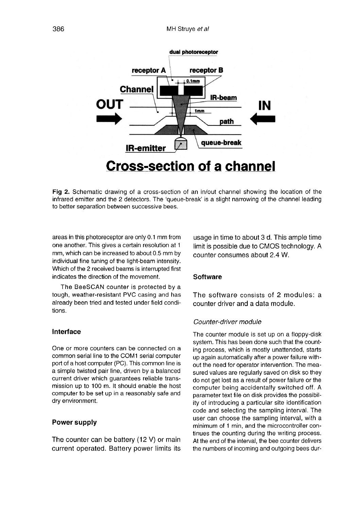

Fig 2. Schematic drawing of a cross-section of an in/out channel showing the location of the infrared emitter and the 2 detectors. The 'queue-break' is a slight narrowing of the channel leading to better separation between successive bees.

areas in this photoreceptor are only 0.1 mm from one another. This gives a certain resolution at 1 mm, which can be increased to about 0.5 mm by individual fine tuning of the light-beam intensity. Which of the 2 received beams is interrupted first indicates the direction of the movement.

The BeeSCAN counter is protected by a tough, weather-resistant PVC casing and has already been tried and tested under field conditions.

#### Interface

One or more counters can be connected on a common serial line to the COM1 serial computer port of a host computer (PC). This common line is a simple twisted pair line, driven by a balanced current driver which guarantees reliable transmission up to 100 m. It should enable the host computer to be set up in a reasonably safe and dry environment.

# Power supply

The counter can be battery (12 V) or main current operated. Battery power limits its

usage in time to about 3 d. This ample time limit is possible due to CMOS technology. A counter consumes about 2.4 W.

## **Software**

The software consists of 2 modules: a counter driver and a data module.

#### Counter-driver module

The counter module is set up on a floppy-disk system. This has been done such that the counting process, which is mostly unattended, starts up again automatically after a power failure without the need for operator intervention. The measured values are regularly saved on disk so they do not get lost as a result of power failure or the computer being accidentally switched off. A parameter text file on disk provides the possibility of introducing a particular site identification code and selecting the sampling interval. The user can choose the sampling interval, with a minimum of 1 min, and the microcontroller continues the counting during the writing process. At the end of the interval, the bee counter delivers the numbers of incoming and outgoing bees dur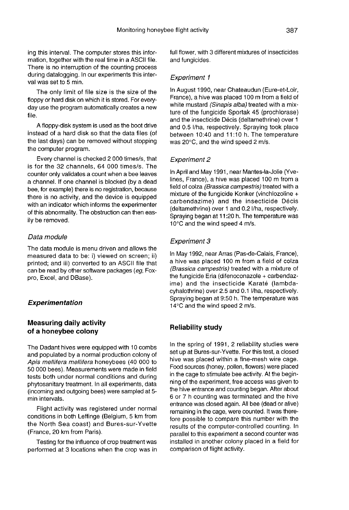ing this interval. The computer stores this information, together with the real time in a ASCII file. There is no interruption of the counting process during datalogging. In our experiments this interval was set to 5 min.

The only limit of file size is the size of the floppy or hard disk on which it is stored. For everyday use the program automatically creates a new file.

A floppy-disk system is used as the boot drive instead of a hard disk so that the data files (of the last days) can be removed without stopping the computer program.

Every channel is checked 2 000 times/s, that is for the 32 channels, 64 000 times/s. The counter only validates a count when a bee leaves a channel. If one channel is blocked (by a dead bee, for example) there is no registration, because there is no activity, and the device is equipped with an indicator which informs the experimenter of this abnormality. The obstruction can then easily be removed.

#### Data module

The data module is menu driven and allows the measured data to be: i) viewed on screen; ii) printed; and iii) converted to an ASCII file that can be read by other software packages (eg, Foxpro, Excel, and DBase).

#### Experimentation

# Measuring daily activity of a honeybee colony

The Dadant hives were equipped with 10 combs and populated by a normal production colony of Apis mellifera mellifera honeybees (40 000 to 50 000 bees). Measurements were made in field tests both under normal conditions and during phytosanitary treatment. In all experiments, data (incoming and outgoing bees) were sampled at 5 min intervals.

Flight activity was registered under normal conditions in both Leffinge (Belgium, 5 km from the North Sea coast) and Bures-sur-Yvette (France, 20 km from Paris).

Testing for the influence of crop treatment was performed at 3 locations when the crop was in full flower, with 3 different mixtures of insecticides and fungicides.

#### Experiment 1

In August 1990, near Chateaudun (Eure-et-Loir, France), a hive was placed 100 m from a field of white mustard (Sinapis alba) treated with a mixture of the fungicide Sportak 45 (prochlorase) and the insecticide Décis (deltamethrine) over 1 and 0.5 l/ha, respectively. Spraying took place between 10:40 and 11:10 h. The temperature was 20°C, and the wind speed 2 m/s.

#### Experiment 2

In April and May 1991, near Mantes-la-Jolie (Yvelines, France), a hive was placed 100 m from a field of colza (Brassica campestris) treated with a mixture of the fungicide Konker (vinchlozoline + carbendazime) and the insecticide Décis (deltamethrine) over 1 and 0.2 l/ha, respectively. Spraying began at 11:20 h. The temperature was 10°C and the wind speed 4 m/s.

#### Experiment 3

In May 1992, near Arras (Pas-de-Calais, France), a hive was placed 100 m from a field of colza (Brassica campestris) treated with a mixture of the fungicide Eria (difenoconazole + carbendazime) and the insecticide Karaté (lambdacyhalothrine) over 2.5 and 0.1 l/ha, respectively. Spraying began at 9:50 h. The temperature was 14°C and the wind speed 2 m/s.

#### Reliability study

In the spring of 1991, 2 reliability studies were set up at Bures-sur-Yvette. For this test, a closed hive was placed within a fine-mesh wire cage. Food sources (honey, pollen, flowers) were placed in the cage to stimulate bee activity. At the beginning of the experiment, free access was given to the hive entrance and counting began. After about 6 or 7 h counting was terminated and the hive entrance was closed again. All bee (dead or alive) remaining in the cage, were counted. It was therefore possible to compare this number with the results of the computer-controlled counting. In parallel to this experiment a second counter was installed in another colony placed in a field for comparison of flight activity.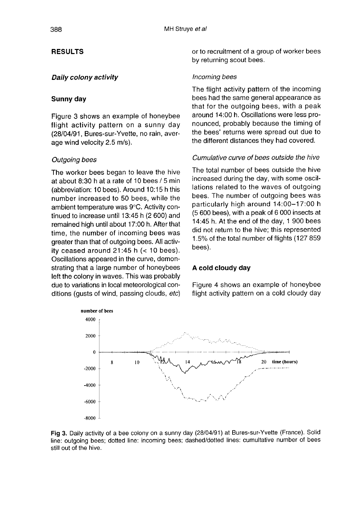# **RESULTS**

#### Daily colony activity

#### Sunny day

Figure 3 shows an example of honeybee flight activity pattern on a sunny day (28/04/91, Bures-sur-Yvette, no rain, average wind velocity 2.5 m/s).

#### Outgoing bees

The worker bees began to leave the hive at about 8:30 h at a rate of 10 bees / 5 min (abbreviation: 10 bees). Around 10:15 h this number increased to 50 bees, while the ambient temperature was 9°C. Activity continued to increase until 13:45 h (2 600) and remained high until about 17:00 h. After that time, the number of incoming bees was greater than that of outgoing bees. All activity ceased around  $21:45$  h (< 10 bees). Oscillations appeared in the curve, demonstrating that a large number of honeybees left the colony in waves. This was probably due to variations in local meteorological conditions (gusts of wind, passing clouds, etc)

or to recruitment of a group of worker bees by returning scout bees.

#### Incoming bees

The flight activity pattern of the incoming bees had the same general appearance as that for the outgoing bees, with a peak around 14:00 h. Oscillations were less pronounced, probably because the timing of the bees' returns were spread out due to the different distances they had covered.

## Cumulative curve of bees outside the hive

The total number of bees outside the hive increased during the day, with some oscillations related to the waves of outgoing bees. The number of outgoing bees was particularly high around 14:00-17:00 h (5 600 bees), with a peak of 6 000 insects at 14:45 h. At the end of the day, 1 900 bees did not return to the hive; this represented 1.5% of the total number of flights (127 859 bees).

#### A cold cloudy day

Figure 4 shows an example of honeybee flight activity pattern on a cold cloudy day



Fig 3. Daily activity of a bee colony on a sunny day (28/04/91) at Bures-sur-Yvette (France). Solid line: outgoing bees; dotted line: incoming bees; dashed/dotted lines: cumultative number of bees still out of the hive.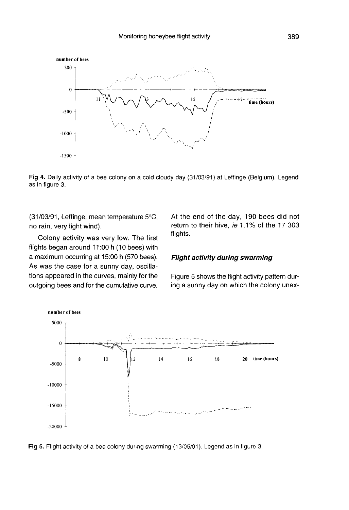

Fig 4. Daily activity of a bee colony on a cold cloudy day (31/03/91) at Leffinge (Belgium). Legend as in figure 3.

(31/03/91, Leffinge, mean temperature 5°C, no rain, very light wind).

Colony activity was very low. The first flights began around 11:00 h (10 bees) with a maximum occurring at 15:00 h (570 bees). As was the case for a sunny day, oscillations appeared in the curves, mainly for the outgoing bees and for the cumulative curve.

At the end of the day, 190 bees did not return to their hive, ie 1.1% of the 17 303 flights.

#### Flight activity during swarming

Figure 5 shows the flight activity pattern during a sunny day on which the colony unex-



Fig 5. Flight activity of a bee colony during swarming (13/05/91). Legend as in figure 3.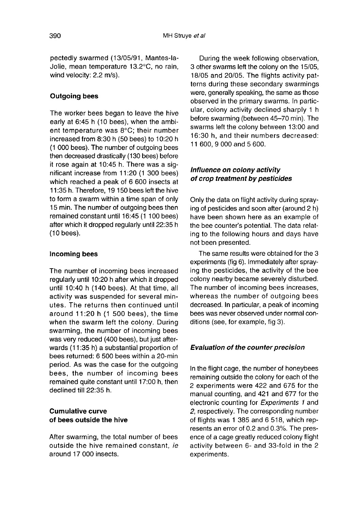pectedly swarmed (13/05/91, Mantes-la-Jolie, mean temperature 13.2°C, no rain, wind velocity: 2.2 m/s).

# Outgoing bees

The worker bees began to leave the hive early at 6:45 h (10 bees), when the ambient temperature was 8°C; their number increased from 8:30 h (50 bees) to 10:20 h (1 000 bees). The number of outgoing bees then decreased drastically (130 bees) before it rose again at 10:45 h. There was a significant increase from 11:20 (1 300 bees) which reached a peak of 6 600 insects at 11:35 h. Therefore, 19 150 bees left the hive to form a swarm within a time span of only 15 min. The number of outgoing bees then remained constant until 16:45 (1 100 bees) after which it dropped regularly until 22:35 h (10 bees).

# Incoming bees

The number of incoming bees increased regularly until 10:20 h after which it dropped until 10:40 h (140 bees). At that time, all activity was suspended for several minutes. The returns then continued until around 11:20 h (1 500 bees), the time when the swarm left the colony. During swarming, the number of incoming bees was very reduced (400 bees), but just afterwards (11:35 h) a substantial proportion of bees returned: 6 500 bees within a 20-min period. As was the case for the outgoing bees, the number of incoming bees remained quite constant until 17:00 h, then declined till 22:35 h.

# Cumulative curve of bees outside the hive

After swarming, the total number of bees outside the hive remained constant, ie around 17 000 insects.

During the week following observation, 3 other swarms left the colony on the 15/05, 18/05 and 20/05. The flights activity patterns during these secondary swarmings were, generally speaking, the same as those observed in the primary swarms. In particular, colony activity declined sharply 1 h before swarming (between 45-70 min). The swarms left the colony between 13:00 and 16:30 h, and their numbers decreased: 11 600, 9 000 and 5 600.

# Influence on colony activity of crop treatment by pesticides

Only the data on flight activity during spraying of pesticides and soon after (around 2 h) have been shown here as an example of the bee counter's potential. The data relating to the following hours and days have not been presented.

The same results were obtained for the 3 experiments (fig 6). Immediately after spraying the pesticides, the activity of the bee colony nearby became severely disturbed. The number of incoming bees increases, whereas the number of outgoing bees decreased. In particular, a peak of incoming bees was never observed under normal conditions (see, for example, fig 3).

# Evaluation of the counter precision

In the flight cage, the number of honeybees remaining outside the colony for each of the 2 experiments were 422 and 675 for the manual counting, and 421 and 677 for the electronic counting for Experiments 1 and 2, respectively. The corresponding number of flights was 1 385 and 6 518, which represents an error of 0.2 and 0.3%. The presence of a cage greatly reduced colony flight activity between 6- and 33-fold in the 2 experiments.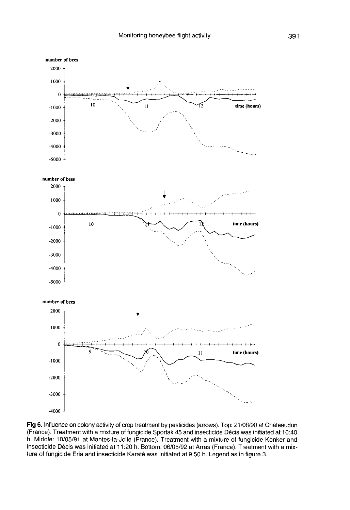

Fig 6. Influence on colony activity of crop treatment by pesticides (arrows). Top: 21/08/90 at Châteaudun (France). Treatment with a mixture of fungicide Sportak 45 and insecticide Décis was initiated at 10:40 h. Middle: 10/05/91 at Mantes-la-Jolie (France). Treatment with a mixture of fungicide Konker and insecticide Décis was initiated at 11:20 h. Bottom: 06/05/92 at Arras (France). Treatment with a mixture of fungicide Eria and insecticide Karaté was initiated at 9:50 h. Legend as in figure 3.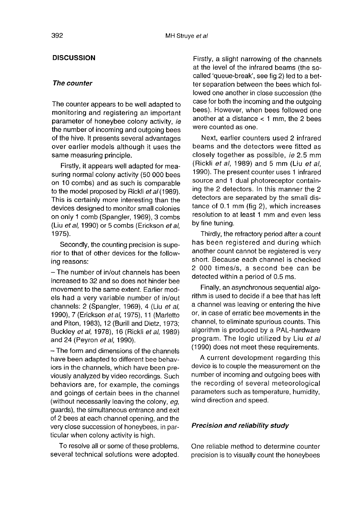# **DISCUSSION**

#### The counter

The counter appears to be well adapted to monitoring and registering an important parameter of honeybee colony activity, ie the number of incoming and outgoing bees of the hive. It presents several advantages over earlier models although it uses the same measuring principle.

Firstly, it appears well adapted for measuring normal colony activity (50 000 bees on 10 combs) and as such is comparable to the model proposed by Rickli et al (1989). This is certainly more interesting than the devices designed to monitor small colonies on only 1 comb (Spangler, 1969), 3 combs (Liu et al, 1990) or 5 combs (Erickson et al, 1975).

Secondly, the counting precision is superior to that of other devices for the following reasons:

- The number of in/out channels has been increased to 32 and so does not hinder bee movement to the same extent. Earlier models had a very variable number of in/out channels: 2 (Spangler, 1969), 4 (Liu et al, 1990), 7 (Erickson et al, 1975), 11 (Marletto and Piton, 1983), 12 (Burill and Dietz, 1973; Buckley et al, 1978), 16 (Rickli et al, 1989) and 24 (Peyron et al, 1990).

- The form and dimensions of the channels have been adapted to different bee behaviors in the channels, which have been previously analyzed by video recordings. Such behaviors are, for example, the comings and goings of certain bees in the channel (without necessarily leaving the colony, eg, guards), the simultaneous entrance and exit of 2 bees at each channel opening, and the very close succession of honeybees, in particular when colony activity is high.

To resolve all or some of these problems, several technical solutions were adopted. Firstly, a slight narrowing of the channels at the level of the infrared beams (the socalled 'queue-break', see fig 2) led to a better separation between the bees which followed one another in close succession (the case for both the incoming and the outgoing bees). However, when bees followed one another at a distance  $<$  1 mm, the 2 bees were counted as one.

Next, earlier counters used 2 infrared beams and the detectors were fitted as closely together as possible, ie 2.5 mm (Rickli et al, 1989) and 5 mm (Liu et al, 1990). The present counter uses 1 infrared source and 1 dual photoreceptor containing the 2 detectors. In this manner the 2 detectors are separated by the small distance of 0.1 mm (fig 2), which increases resolution to at least 1 mm and even less by fine tuning.

Thirdly, the refractory period after a count has been registered and during which another count cannot be registered is very short. Because each channel is checked 2 000 times/s, a second bee can be detected within a period of 0.5 ms.

Finally, an asynchronous sequential algorithm is used to decide if a bee that has left a channel was leaving or entering the hive or, in case of erratic bee movements in the channel, to eliminate spurious counts. This algorithm is produced by a PAL-hardware program. The logic utilized by Liu et all (1990) does not meet these requirements.

A current development regarding this device is to couple the measurement on the number of incoming and outgoing bees with the recording of several meteorological parameters such as temperature, humidity, wind direction and speed.

#### Precision and reliability study

One reliable method to determine counter precision is to visually count the honeybees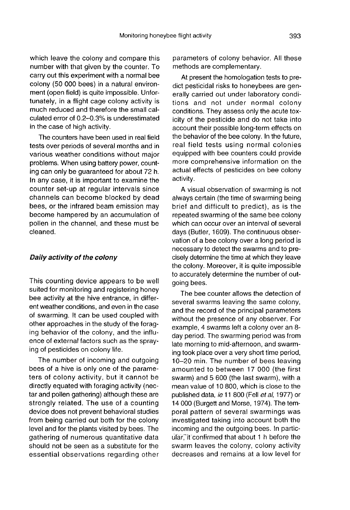which leave the colony and compare this number with that given by the counter. To carry out this experiment with a normal bee colony (50 000 bees) in a natural environment (open field) is quite impossible. Unfortunately, in a flight cage colony activity is much reduced and therefore the small calculated error of 0.2-0.3% is underestimated in the case of high activity.

The counters have been used in real field tests over periods of several months and in various weather conditions without major problems. When using battery power, counting can only be guaranteed for about 72 h. In any case, it is important to examine the counter set-up at regular intervals since channels can become blocked by dead bees, or the infrared beam emission may become hampered by an accumulation of pollen in the channel, and these must be cleaned.

#### Daily activity of the colony

This counting device appears to be well suited for monitoring and registering honey bee activity at the hive entrance, in different weather conditions, and even in the case of swarming. It can be used coupled with other approaches in the study of the foraging behavior of the colony, and the influence of external factors such as the spraying of pesticides on colony life.

The number of incoming and outgoing bees of a hive is only one of the parameters of colony activity, but it cannot be directly equated with foraging activity (nec tar and pollen gathering) although these are strongly related. The use of a counting device does not prevent behavioral studies from being carried out both for the colony level and for the plants visited by bees. The gathering of numerous quantitative data should not be seen as a substitute for the essential observations regarding other parameters of colony behavior. All these methods are complementary.

At present the homologation tests to predict pesticidal risks to honeybees are generally carried out under laboratory conditions and not under normal colony conditions. They assess only the acute toxicity of the pesticide and do not take into account their possible long-term effects on the behavior of the bee colony. In the future, real field tests using normal colonies equipped with bee counters could provide more comprehensive information on the actual effects of pesticides on bee colony activity.

A visual observation of swarming is not always certain (the time of swarming being brief and difficult to predict), as is the repeated swarming of the same bee colony which can occur over an interval of several days (Butler, 1609). The continuous observation of a bee colony over a long period is necessary to detect the swarms and to precisely determine the time at which they leave the colony. Moreover, it is quite impossible to accurately determine the number of outgoing bees.

The bee counter allows the detection of several swarms leaving the same colony, and the record of the principal parameters without the presence of any observer. For example, 4 swarms left a colony over an 8 day period. The swarming period was from late morning to mid-afternoon, and swarming took place over a very short time period, 10-20 min. The number of bees leaving amounted to between 17 000 (the first swarm) and 5 600 (the last swarm), with a mean value of 10 800, which is close to the published data, ie 11 800 (Fell et al, 1977) or 14 000 (Burgett and Morse, 1974). The temporal pattern of several swarmings was investigated taking into account both the incoming and the outgoing bees. In particular, it confirmed that about 1 h before the swarm leaves the colony, colony activity decreases and remains at a low level for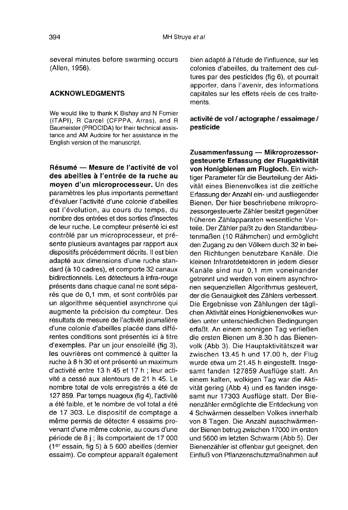several minutes before swarming occurs (Allen, 1956).

# ACKNOWLEDGMENTS

We would like to thank K Bishay and N Fornier (ITAPI), R Carcel (CFPPA, Arras), and R Baumeister (PROCIDA) for their technical assistance and AM Audoire for her assistance in the English version of the manuscript.

Résumé — Mesure de l'activité de vol des abeilles à l'entrée de la ruche au moyen d'un microprocesseur. Un des paramètres les plus importants permettant d'évaluer l'activité d'une colonie d'abeilles est l'évolution, au cours du temps, du nombre des entrées et des sorties d'insectes de leur ruche. Le compteur présenté ici est contrôlé par un microprocesseur, et présente plusieurs avantages par rapport aux dispositifs précédemment décrits. Il est bien adapté aux dimensions d'une ruche standard (à 10 cadres), et comporte 32 canaux bidirectionnels. Les détecteurs à infra-rouge présents dans chaque canal ne sont séparés que de 0,1 mm, et sont contrôlés par un algorithme séquentiel asynchrone qui augmente la précision du compteur. Des résultats de mesure de l'activité journalière d'une colonie d'abeilles placée dans différentes conditions sont présentés ici à titre d'exemples. Par un jour ensoleillé (fig 3), les ouvrières ont commencé à quitter la ruche à 8 h 30 et ont présenté un maximum d'activité entre 13 h 45 et 17 h ; leur activité a cessé aux alentours de 21 h 45. Le nombre total de vols enregistrés a été de 127 859. Par temps nuageux (fig 4), l'activité a été faible, et le nombre de vol total a été de 17 303. Le dispositif de comptage a même permis de détecter 4 essaims provenant d'une même colonie, au cours d'une période de 8 j ; ils comportaient de 17 000 (1er essain, fig 5) à 5 600 abeilles (dernier essaim). Ce compteur apparaît également

bien adapté à l'étude de l'influence, sur les colonies d'abeilles, du traitement des cultures par des pesticides (fig 6), et pourrait apporter, dans l'avenir, des informations capitales sur les effets réels de ces traitements.

# activité de vol / actographe / essaimage / pesticide

Zusammenfassung — Mikroprozessor-<br>gesteuerte Erfassung der Flugaktivität von Honigbienen am Flugloch. Ein wichtiger Parameter für die Beurteilung der Aktivität eines Bienenvolkes ist die zeitliche Erfassung der Anzahl ein- und ausfliegender Bienen. Der hier beschriebene mikroprozessorgesteuerte Zähler besitzt gegenüber früheren Zählapparaten wesentliche Vorteile. Der Zähler paßt zu den Standardbeutenmaßen (10 Rähmchen) und ermöglicht den Zugang zu den Völkern durch 32 in beiden Richtungen benutzbare Kanäle. Die kleinen Infrarotdetektoren in jedem dieser Kanäle sind nur 0,1 mm voneinander getrennt und werden von einem asynchro nen sequenziellen Algorithmus gesteuert, der die Genauigkeit des Zählers verbessert. Die Ergebnisse von Zählungen der täglichen Aktivität eines Honigbienenvolkes wurden unter unterschiedlichen Bedingungen erfaßt. An einem sonnigen Tag verließen die ersten Bienen um 8.30 h das Bienenvolk (Abb 3). Die Hauptaktivitätszeit war zwischen 13.45 h und 17.00 h, der Flug wurde etwa um 21.45 h eingestellt. Insge samt fanden 127859 Ausflüge statt. An einem kalten, wolkigen Tag war die Aktivität gering (Abb 4) und es fanden insge samt nur 17303 Ausflüge statt. Der Bienenzähler ermöglichte die Entdeckung von 4 Schwärmen desselben Volkes innerhalb von 8 Tagen. Die Anzahl ausschwärmender Bienen betrug zwischen 17000 im ersten und 5600 im letzten Schwarm (Abb 5). Der Bienenzähler ist offenbar gut geeignet, den Einfluß von Pflanzenschutzmaßnahmen auf